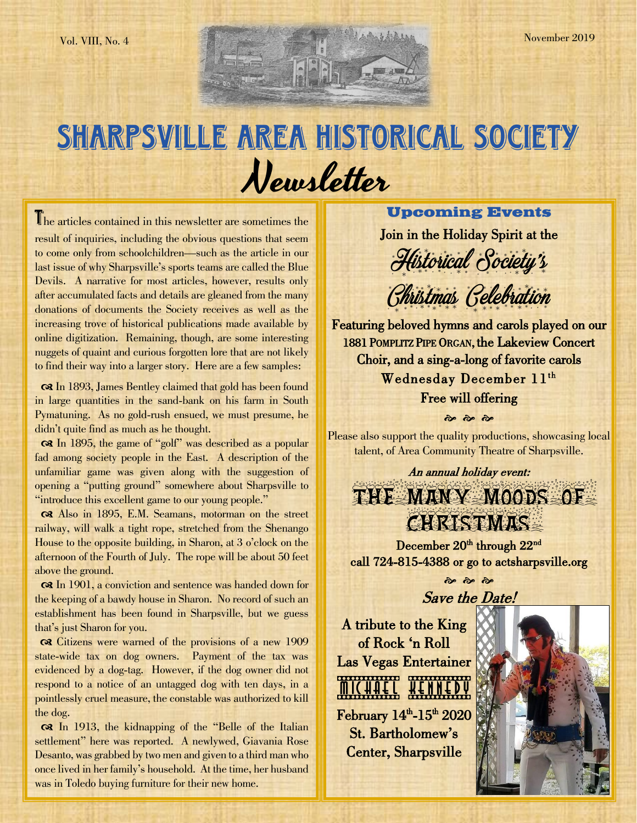# SHARPSVILLE AREA HISTORICAL SOCIETY Newsletter

The articles contained in this newsletter are sometimes the result of inquiries, including the obvious questions that seem to come only from schoolchildren—such as the article in our last issue of why Sharpsville's sports teams are called the Blue Devils. A narrative for most articles, however, results only after accumulated facts and details are gleaned from the many donations of documents the Society receives as well as the increasing trove of historical publications made available by online digitization. Remaining, though, are some interesting nuggets of quaint and curious forgotten lore that are not likely to find their way into a larger story. Here are a few samples:

 In 1893, James Bentley claimed that gold has been found in large quantities in the sand-bank on his farm in South Pymatuning. As no gold-rush ensued, we must presume, he didn't quite find as much as he thought.

 In 1895, the game of "golf" was described as a popular fad among society people in the East. A description of the unfamiliar game was given along with the suggestion of opening a "putting ground" somewhere about Sharpsville to "introduce this excellent game to our young people."

 Also in 1895, E.M. Seamans, motorman on the street railway, will walk a tight rope, stretched from the Shenango House to the opposite building, in Sharon, at 3 o'clock on the afternoon of the Fourth of July. The rope will be about 50 feet above the ground.

 In 1901, a conviction and sentence was handed down for the keeping of a bawdy house in Sharon. No record of such an establishment has been found in Sharpsville, but we guess that's just Sharon for you.

 Citizens were warned of the provisions of a new 1909 state-wide tax on dog owners. Payment of the tax was evidenced by a dog-tag. However, if the dog owner did not respond to a notice of an untagged dog with ten days, in a pointlessly cruel measure, the constable was authorized to kill the dog.

 In 1913, the kidnapping of the "Belle of the Italian settlement" here was reported. A newlywed, Giavania Rose Desanto, was grabbed by two men and given to a third man who once lived in her family's household. At the time, her husband was in Toledo buying furniture for their new home.

 $\overline{a}$ 

### **Upcoming Events**

Join in the Holiday Spirit at the



Christmas Celebration

Featuring beloved hymns and carols played on our 1881 POMPLITZ PIPE ORGAN, the Lakeview Concert Choir, and a sing-a-long of favorite carols Wednesday December 11<sup>th</sup> Free will offering

Please also support the quality productions, showcasing local talent, of Area Community Theatre of Sharpsville.

 $\frac{3}{2}$   $\frac{3}{2}$   $\frac{3}{2}$ 

An annual holiday event: THE MANY MOODS OF

December 20<sup>th</sup> through 22<sup>nd</sup> call 724-815-4388 or go to actsharpsville.org

 $\frac{1}{2}$   $\frac{1}{2}$   $\frac{1}{2}$ 

Save the Date! A tribute to the King

of Rock 'n Roll Las Vegas Entertainer **MICHAEL HENNEDA**  $F$ ebruary  $14<sup>th</sup>$ -15<sup>th</sup> 2020 St. Bartholomew's Center, Sharpsville

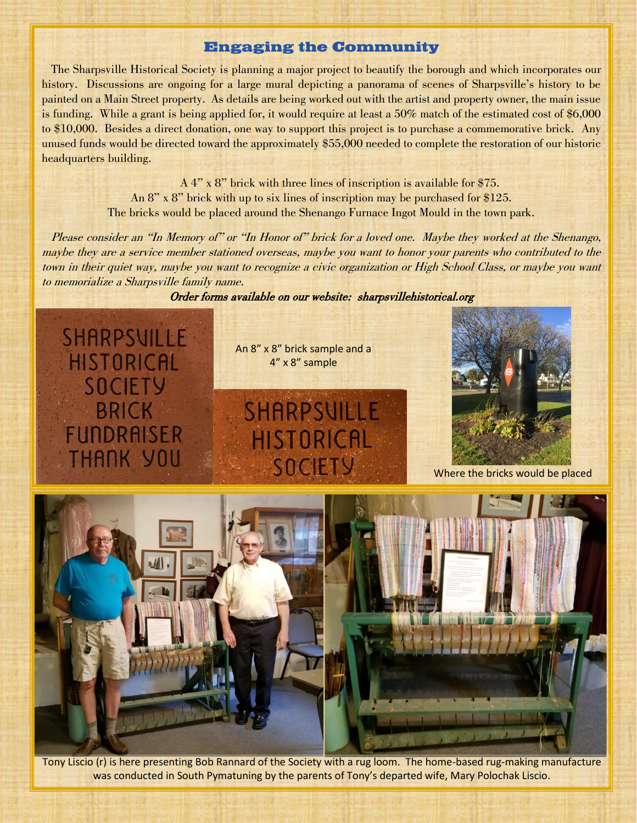#### **Engaging the Community**

 The Sharpsville Historical Society is planning a major project to beautify the borough and which incorporates our history. Discussions are ongoing for a large mural depicting a panorama of scenes of Sharpsville's history to be painted on a Main Street property. As details are being worked out with the artist and property owner, the main issue is funding. While a grant is being applied for, it would require at least a 50% match of the estimated cost of \$6,000 to \$10,000. Besides a direct donation, one way to support this project is to purchase a commemorative brick. Any unused funds would be directed toward the approximately \$55,000 needed to complete the restoration of our historic headquarters building.

> A 4" x 8" brick with three lines of inscription is available for \$75. An 8" x 8" brick with up to six lines of inscription may be purchased for \$125. The bricks would be placed around the Shenango Furnace Ingot Mould in the town park.

Please consider an "In Memory of" or "In Honor of" brick for a loved one. Maybe they worked at the Shenango, maybe they are a service member stationed overseas, maybe you want to honor your parents who contributed to the town in their quiet way, maybe you want to recognize a civic organization or High School Class, or maybe you want to memorialize a Sharpsville family name.

Order forms available on our website: sharpsvillehistorical.org

SHARPSVILLE HISTORICAL **SOCIETY BRICK FUNDRAISER THANK YOU** 

An 8" x 8" brick sample and a 4" x 8" sample





Where the bricks would be placed



Tony Liscio (r) is here presenting Bob Rannard of the Society with a rug loom. The home-based rug-making manufacture was conducted in South Pymatuning by the parents of Tony's departed wife, Mary Polochak Liscio.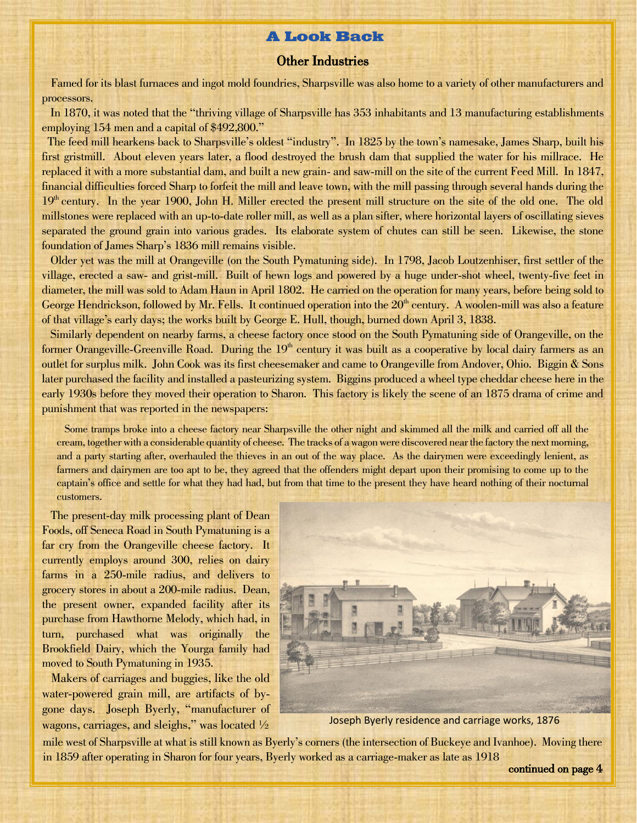#### **A Look Back**

#### Other Industries

 Famed for its blast furnaces and ingot mold foundries, Sharpsville was also home to a variety of other manufacturers and processors.

 In 1870, it was noted that the "thriving village of Sharpsville has 353 inhabitants and 13 manufacturing establishments employing 154 men and a capital of \$492,800."

 The feed mill hearkens back to Sharpsville's oldest "industry". In 1825 by the town's namesake, James Sharp, built his first gristmill. About eleven years later, a flood destroyed the brush dam that supplied the water for his millrace. He replaced it with a more substantial dam, and built a new grain- and saw-mill on the site of the current Feed Mill. In 1847, financial difficulties forced Sharp to forfeit the mill and leave town, with the mill passing through several hands during the 19<sup>th</sup> century. In the year 1900, John H. Miller erected the present mill structure on the site of the old one. The old millstones were replaced with an up-to-date roller mill, as well as a plan sifter, where horizontal layers of oscillating sieves separated the ground grain into various grades. Its elaborate system of chutes can still be seen. Likewise, the stone foundation of James Sharp's 1836 mill remains visible.

 Older yet was the mill at Orangeville (on the South Pymatuning side). In 1798, Jacob Loutzenhiser, first settler of the village, erected a saw- and grist-mill. Built of hewn logs and powered by a huge under-shot wheel, twenty-five feet in diameter, the mill was sold to Adam Haun in April 1802. He carried on the operation for many years, before being sold to George Hendrickson, followed by Mr. Fells. It continued operation into the  $20<sup>th</sup>$  century. A woolen-mill was also a feature of that village's early days; the works built by George E. Hull, though, burned down April 3, 1838.

 Similarly dependent on nearby farms, a cheese factory once stood on the South Pymatuning side of Orangeville, on the former Orangeville-Greenville Road. During the  $19<sup>th</sup>$  century it was built as a cooperative by local dairy farmers as an outlet for surplus milk. John Cook was its first cheesemaker and came to Orangeville from Andover, Ohio. Biggin & Sons later purchased the facility and installed a pasteurizing system. Biggins produced a wheel type cheddar cheese here in the early 1930s before they moved their operation to Sharon. This factory is likely the scene of an 1875 drama of crime and punishment that was reported in the newspapers:

 Some tramps broke into a cheese factory near Sharpsville the other night and skimmed all the milk and carried off all the cream, together with a considerable quantity of cheese. The tracks of a wagon were discovered near the factory the next morning, and a party starting after, overhauled the thieves in an out of the way place. As the dairymen were exceedingly lenient, as farmers and dairymen are too apt to be, they agreed that the offenders might depart upon their promising to come up to the captain's office and settle for what they had had, but from that time to the present they have heard nothing of their nocturnal customers.

 The present-day milk processing plant of Dean Foods, off Seneca Road in South Pymatuning is a far cry from the Orangeville cheese factory. It currently employs around 300, relies on dairy farms in a 250-mile radius, and delivers to grocery stores in about a 200-mile radius. Dean, the present owner, expanded facility after its purchase from Hawthorne Melody, which had, in turn, purchased what was originally the Brookfield Dairy, which the Yourga family had moved to South Pymatuning in 1935.

 Makers of carriages and buggies, like the old water-powered grain mill, are artifacts of bygone days. Joseph Byerly, "manufacturer of wagons, carriages, and sleighs," was located  $\frac{1}{2}$ 



Joseph Byerly residence and carriage works, 1876

mile west of Sharpsville at what is still known as Byerly's corners (the intersection of Buckeye and Ivanhoe). Moving there in 1859 after operating in Sharon for four years, Byerly worked as a carriage-maker as late as 1918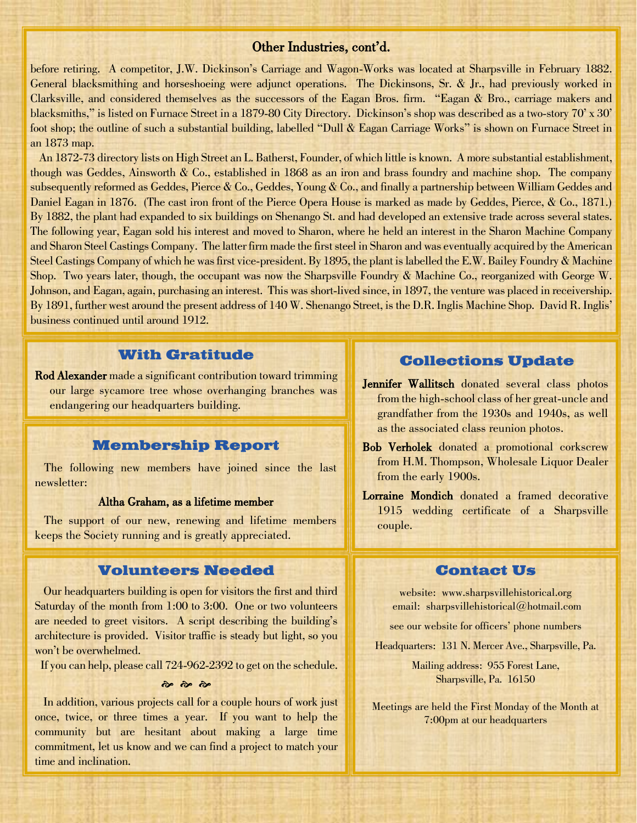#### Other Industries, cont'd.

before retiring. A competitor, J.W. Dickinson's Carriage and Wagon-Works was located at Sharpsville in February 1882. General blacksmithing and horseshoeing were adjunct operations. The Dickinsons, Sr. & Jr., had previously worked in Clarksville, and considered themselves as the successors of the Eagan Bros. firm. "Eagan & Bro., carriage makers and blacksmiths," is listed on Furnace Street in a 1879-80 City Directory. Dickinson's shop was described as a two-story 70' x 30' foot shop; the outline of such a substantial building, labelled "Dull & Eagan Carriage Works" is shown on Furnace Street in an 1873 map.

 An 1872-73 directory lists on High Street an L. Batherst, Founder, of which little is known. A more substantial establishment, though was Geddes, Ainsworth & Co., established in 1868 as an iron and brass foundry and machine shop. The company subsequently reformed as Geddes, Pierce & Co., Geddes, Young & Co., and finally a partnership between William Geddes and Daniel Eagan in 1876. (The cast iron front of the Pierce Opera House is marked as made by Geddes, Pierce, & Co., 1871.) By 1882, the plant had expanded to six buildings on Shenango St. and had developed an extensive trade across several states. The following year, Eagan sold his interest and moved to Sharon, where he held an interest in the Sharon Machine Company and Sharon Steel Castings Company. The latter firm made the first steel in Sharon and was eventually acquired by the American Steel Castings Company of which he was first vice-president. By 1895, the plant is labelled the E.W. Bailey Foundry & Machine Shop. Two years later, though, the occupant was now the Sharpsville Foundry & Machine Co., reorganized with George W. Johnson, and Eagan, again, purchasing an interest. This was short-lived since, in 1897, the venture was placed in receivership. By 1891, further west around the present address of 140 W. Shenango Street, is the D.R. Inglis Machine Shop. David R. Inglis' business continued until around 1912.

#### **With Gratitude**

Rod Alexander made a significant contribution toward trimming our large sycamore tree whose overhanging branches was endangering our headquarters building.

#### **Membership Report**

 The following new members have joined since the last newsletter:

#### Altha Graham, as a lifetime member

 The support of our new, renewing and lifetime members keeps the Society running and is greatly appreciated.

#### **Volunteers Needed**

 Our headquarters building is open for visitors the first and third Saturday of the month from 1:00 to 3:00. One or two volunteers are needed to greet visitors. A script describing the building's architecture is provided. Visitor traffic is steady but light, so you won't be overwhelmed.

If you can help, please call 724-962-2392 to get on the schedule.

 $\frac{1}{2}$  and an

 In addition, various projects call for a couple hours of work just once, twice, or three times a year. If you want to help the community but are hesitant about making a large time commitment, let us know and we can find a project to match your time and inclination.

#### **Collections Update**

- Jennifer Wallitsch donated several class photos from the high-school class of her great-uncle and grandfather from the 1930s and 1940s, as well as the associated class reunion photos.
- Bob Verholek donated a promotional corkscrew from H.M. Thompson, Wholesale Liquor Dealer from the early 1900s.
- Lorraine Mondich donated a framed decorative 1915 wedding certificate of a Sharpsville couple.

#### **Contact Us**

website: www.sharpsvillehistorical.org email: sharpsvillehistorical@hotmail.com

see our website for officers' phone numbers

Headquarters: 131 N. Mercer Ave., Sharpsville, Pa.

Mailing address: 955 Forest Lane, Sharpsville, Pa. 16150

Meetings are held the First Monday of the Month at 7:00pm at our headquarters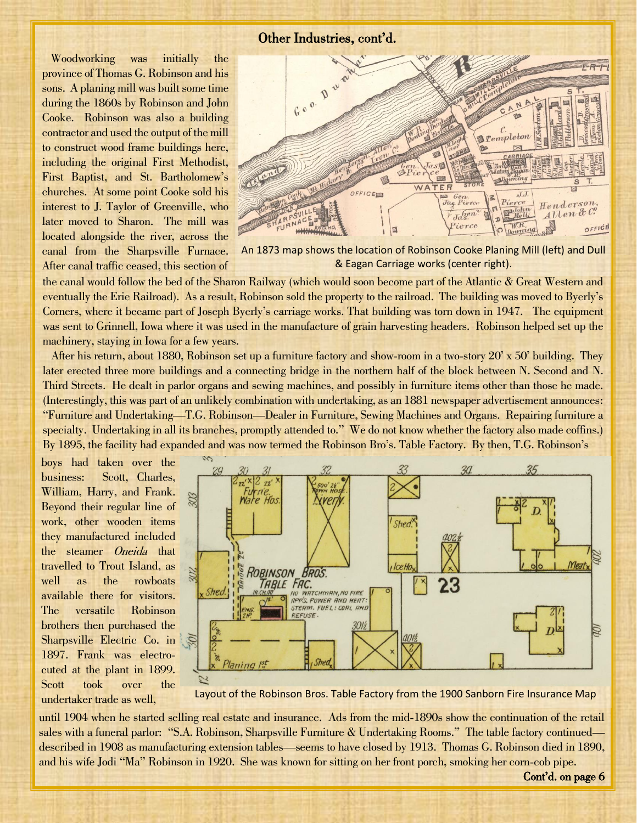Woodworking was initially the province of Thomas G. Robinson and his sons. A planing mill was built some time during the 1860s by Robinson and John Cooke. Robinson was also a building contractor and used the output of the mill to construct wood frame buildings here, including the original First Methodist, First Baptist, and St. Bartholomew's churches. At some point Cooke sold his interest to J. Taylor of Greenville, who later moved to Sharon. The mill was located alongside the river, across the canal from the Sharpsville Furnace. After canal traffic ceased, this section of



An 1873 map shows the location of Robinson Cooke Planing Mill (left) and Dull & Eagan Carriage works (center right).

the canal would follow the bed of the Sharon Railway (which would soon become part of the Atlantic & Great Western and eventually the Erie Railroad). As a result, Robinson sold the property to the railroad. The building was moved to Byerly's Corners, where it became part of Joseph Byerly's carriage works. That building was torn down in 1947. The equipment was sent to Grinnell, Iowa where it was used in the manufacture of grain harvesting headers. Robinson helped set up the machinery, staying in Iowa for a few years.

 After his return, about 1880, Robinson set up a furniture factory and show-room in a two-story 20' x 50' building. They later erected three more buildings and a connecting bridge in the northern half of the block between N. Second and N. Third Streets. He dealt in parlor organs and sewing machines, and possibly in furniture items other than those he made. (Interestingly, this was part of an unlikely combination with undertaking, as an 1881 newspaper advertisement announces: "Furniture and Undertaking—T.G. Robinson—Dealer in Furniture, Sewing Machines and Organs. Repairing furniture a specialty. Undertaking in all its branches, promptly attended to." We do not know whether the factory also made coffins.) By 1895, the facility had expanded and was now termed the Robinson Bro's. Table Factory. By then, T.G. Robinson's

business: boys had taken over the Scott, Charles, William, Harry, and Frank. Beyond their regular line of work, other wooden items they manufactured included the steamer *Oneida* that travelled to Trout Island, as well as the rowboats available there for visitors. The versatile Robinson brothers then purchased the Sharpsville Electric Co. in 1897. Frank was electrocuted at the plant in 1899. Scott took over the undertaker trade as well,



Layout of the Robinson Bros. Table Factory from the 1900 Sanborn Fire Insurance Map

until 1904 when he started selling real estate and insurance. Ads from the mid-1890s show the continuation of the retail sales with a funeral parlor: "S.A. Robinson, Sharpsville Furniture & Undertaking Rooms." The table factory continued described in 1908 as manufacturing extension tables—seems to have closed by 1913. Thomas G. Robinson died in 1890, and his wife Jodi "Ma" Robinson in 1920. She was known for sitting on her front porch, smoking her corn-cob pipe.

Cont'd. on page 6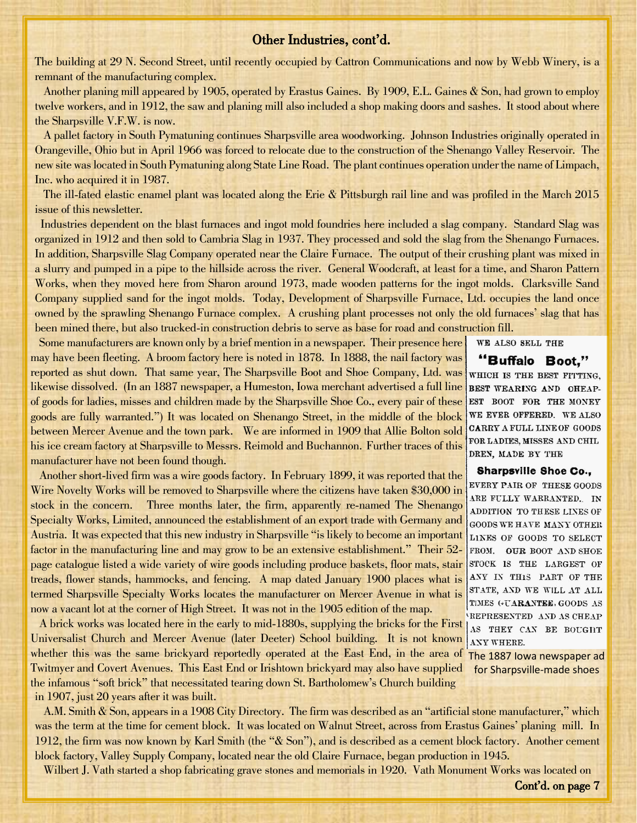#### Other Industries, cont'd.

The building at 29 N. Second Street, until recently occupied by Cattron Communications and now by Webb Winery, is a remnant of the manufacturing complex.

 Another planing mill appeared by 1905, operated by Erastus Gaines. By 1909, E.L. Gaines & Son, had grown to employ twelve workers, and in 1912, the saw and planing mill also included a shop making doors and sashes. It stood about where the Sharpsville V.F.W. is now.

 A pallet factory in South Pymatuning continues Sharpsville area woodworking. Johnson Industries originally operated in Orangeville, Ohio but in April 1966 was forced to relocate due to the construction of the Shenango Valley Reservoir. The new site was located in South Pymatuning along State Line Road. The plant continues operation under the name of Limpach, Inc. who acquired it in 1987.

 The ill-fated elastic enamel plant was located along the Erie & Pittsburgh rail line and was profiled in the March 2015 issue of this newsletter.

 Industries dependent on the blast furnaces and ingot mold foundries here included a slag company. Standard Slag was organized in 1912 and then sold to Cambria Slag in 1937. They processed and sold the slag from the Shenango Furnaces. In addition, Sharpsville Slag Company operated near the Claire Furnace. The output of their crushing plant was mixed in a slurry and pumped in a pipe to the hillside across the river. General Woodcraft, at least for a time, and Sharon Pattern Works, when they moved here from Sharon around 1973, made wooden patterns for the ingot molds. Clarksville Sand Company supplied sand for the ingot molds. Today, Development of Sharpsville Furnace, Ltd. occupies the land once owned by the sprawling Shenango Furnace complex. A crushing plant processes not only the old furnaces' slag that has been mined there, but also trucked-in construction debris to serve as base for road and construction fill.

Some manufacturers are known only by a brief mention in a newspaper. Their presence here his ice cream factory at Sharpsville to Messrs. Reimold and Buchannon. Further traces of this may have been fleeting. A broom factory here is noted in 1878. In 1888, the nail factory was reported as shut down. That same year, The Sharpsville Boot and Shoe Company, Ltd. was likewise dissolved. (In an 1887 newspaper, a Humeston, Iowa merchant advertised a full line of goods for ladies, misses and children made by the Sharpsville Shoe Co., every pair of these goods are fully warranted.") It was located on Shenango Street, in the middle of the block between Mercer Avenue and the town park. We are informed in 1909 that Allie Bolton sold manufacturer have not been found though.

 Another short-lived firm was a wire goods factory. In February 1899, it was reported that the Wire Novelty Works will be removed to Sharpsville where the citizens have taken \$30,000 in stock in the concern. Three months later, the firm, apparently re-named The Shenango Specialty Works, Limited, announced the establishment of an export trade with Germany and Austria. It was expected that this new industry in Sharpsville "is likely to become an important factor in the manufacturing line and may grow to be an extensive establishment." Their 52 page catalogue listed a wide variety of wire goods including produce baskets, floor mats, stair treads, flower stands, hammocks, and fencing. A map dated January 1900 places what is termed Sharpsville Specialty Works locates the manufacturer on Mercer Avenue in what is now a vacant lot at the corner of High Street. It was not in the 1905 edition of the map.

in 1907, just 20 years after it was built. whether this was the same brickyard reportedly operated at the East End, in the area of The 1887 Iowa newspaper ad A brick works was located here in the early to mid-1880s, supplying the bricks for the First Universalist Church and Mercer Avenue (later Deeter) School building. It is not known Twitmyer and Covert Avenues. This East End or Irishtown brickyard may also have supplied the infamous "soft brick" that necessitated tearing down St. Bartholomew's Church building

 A.M. Smith & Son, appears in a 1908 City Directory. The firm was described as an "artificial stone manufacturer," which was the term at the time for cement block. It was located on Walnut Street, across from Erastus Gaines' planing mill. In 1912, the firm was now known by Karl Smith (the "& Son"), and is described as a cement block factory. Another cement block factory, Valley Supply Company, located near the old Claire Furnace, began production in 1945.

Wilbert J. Vath started a shop fabricating grave stones and memorials in 1920. Vath Monument Works was located on

"Buffalo Boot," WHICH IS THE BEST FITTING, BEST WEARING AND OHEAP-EST BOOT FOR THE MONEY WE EVER OFFERED. WE ALSO CARRY A FULL LINE OF GOODS FOR LADIES, MISSES AND CHIL DREN, MADE BY THE

WE ALSO SELL THE

#### **Sharpsville Shoe Co.,**

EVERY PAIR OF THESE GOODS ARE FULLY WARRANTED. IN ADDITION TO THESE LINES OF GOODS WE HAVE MANY OTHER LINES OF GOODS TO SELECT FROM. OUR BOOT AND SHOE STOCK IS THE LARGEST OF ANY IN THIS PART OF THE STATE, AND WE WILL AT ALL TIMES (+UARANTEE, GOODS AS REPRESENTED AND AS CHEAP AS THEY CAN BE BOUGHT ANY WHERE.

for Sharpsville-made shoes